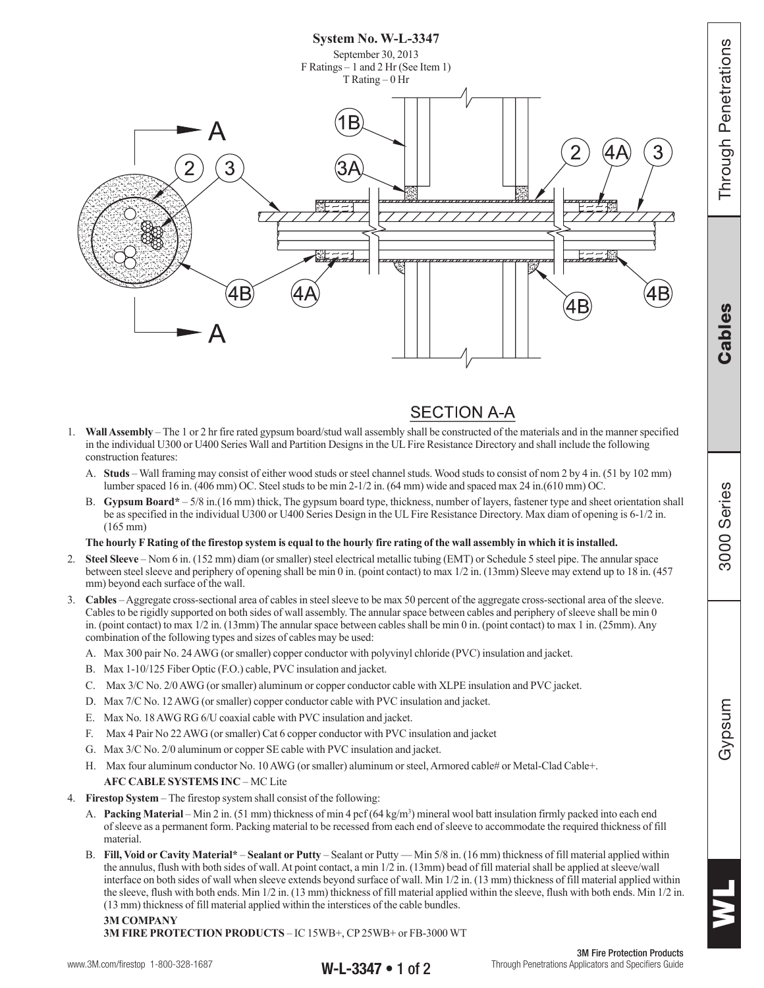

# **SECTION A-A**

- 1. **Wall Assembly**  The 1 or 2 hr fire rated gypsum board/stud wall assembly shall be constructed of the materials and in the manner specified in the individual U300 or U400 Series Wall and Partition Designs in the UL Fire Resistance Directory and shall include the following construction features:
	- A. **Studs** Wall framing may consist of either wood studs or steel channel studs. Wood studs to consist of nom 2 by 4 in. (51 by 102 mm) lumber spaced 16 in. (406 mm) OC. Steel studs to be min 2-1/2 in. (64 mm) wide and spaced max 24 in.(610 mm) OC.
	- B. **Gypsum Board\*** 5/8 in.(16 mm) thick, The gypsum board type, thickness, number of layers, fastener type and sheet orientation shall be as specified in the individual U300 or U400 Series Design in the UL Fire Resistance Directory. Max diam of opening is 6-1/2 in. (165 mm)

## **The hourly F Rating of the firestop system is equal to the hourly fire rating of the wall assembly in which it is installed.**

- 2. **Steel Sleeve**  Nom 6 in. (152 mm) diam (or smaller) steel electrical metallic tubing (EMT) or Schedule 5 steel pipe. The annular space between steel sleeve and periphery of opening shall be min 0 in. (point contact) to max 1/2 in. (13mm) Sleeve may extend up to 18 in. (457 mm) beyond each surface of the wall.
- 3. **Cables** Aggregate cross-sectional area of cables in steel sleeve to be max 50 percent of the aggregate cross-sectional area of the sleeve. Cables to be rigidly supported on both sides of wall assembly. The annular space between cables and periphery of sleeve shall be min 0 in. (point contact) to max 1/2 in. (13mm) The annular space between cables shall be min 0 in. (point contact) to max 1 in. (25mm). Any combination of the following types and sizes of cables may be used:
	- A. Max 300 pair No. 24 AWG (or smaller) copper conductor with polyvinyl chloride (PVC) insulation and jacket.
	- B. Max 1-10/125 Fiber Optic (F.O.) cable, PVC insulation and jacket.
	- C. Max 3/C No. 2/0 AWG (or smaller) aluminum or copper conductor cable with XLPE insulation and PVC jacket.
	- D. Max 7/C No. 12 AWG (or smaller) copper conductor cable with PVC insulation and jacket.
	- E. Max No. 18 AWG RG 6/U coaxial cable with PVC insulation and jacket.
	- F. Max 4 Pair No 22 AWG (or smaller) Cat 6 copper conductor with PVC insulation and jacket
	- G. Max 3/C No. 2/0 aluminum or copper SE cable with PVC insulation and jacket.
	- H. Max four aluminum conductor No. 10 AWG (or smaller) aluminum or steel, Armored cable# or Metal-Clad Cable+.

## **AFC CABLE SYSTEMS INC** – MC Lite

- 4. **Firestop System** The firestop system shall consist of the following:
	- A. **Packing Material** Min 2 in. (51 mm) thickness of min 4 pcf (64 kg/m<sup>3</sup>) mineral wool batt insulation firmly packed into each end of sleeve as a permanent form. Packing material to be recessed from each end of sleeve to accommodate the required thickness of fill material.
	- B. **Fill, Void or Cavity Material\* Sealant or Putty** Sealant or Putty Min 5/8 in. (16 mm) thickness of fill material applied within the annulus, flush with both sides of wall. At point contact, a min 1/2 in. (13mm) bead of fill material shall be applied at sleeve/wall interface on both sides of wall when sleeve extends beyond surface of wall. Min 1/2 in. (13 mm) thickness of fill material applied within the sleeve, flush with both ends. Min 1/2 in. (13 mm) thickness of fill material applied within the sleeve, flush with both ends. Min 1/2 in. (13 mm) thickness of fill material applied within the interstices of the cable bundles.

#### **3M COMPANY**

**3M FIRE PROTECTION PRODUCTS** – IC 15WB+, CP 25WB+ or FB-3000 WT

## www.3M.com/firestop 1-800-328-1687 **W-L-3347 • 1 of 2** Through Penetrations Applicators and Specifiers Guide

3000

Cables | Through Penetrations

**Cables** 

**Inrough Penetrations** 

WL

3M Fire Protection Products